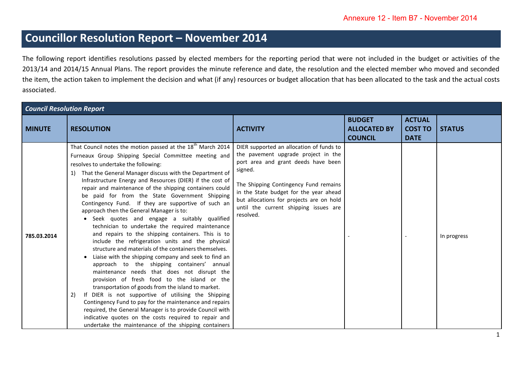## **Councillor Resolution Report – November 2014**

The following report identifies resolutions passed by elected members for the reporting period that were not included in the budget or activities of the 2013/14 and 2014/15 Annual Plans. The report provides the minute reference and date, the resolution and the elected member who moved and seconded the item, the action taken to implement the decision and what (if any) resources or budget allocation that has been allocated to the task and the actual costs associated.

| <b>Council Resolution Report</b> |                                                                                                                                                                                                                                                                                                                                                                                                                                                                                                                                                                                                                                                                                                                                                                                                                                                                                                                                                                                                                                                                                                                                                                                                                                                                                                                                                              |                                                                                                                                                                                                                                                                                                                        |                                                        |                                                |               |  |  |  |
|----------------------------------|--------------------------------------------------------------------------------------------------------------------------------------------------------------------------------------------------------------------------------------------------------------------------------------------------------------------------------------------------------------------------------------------------------------------------------------------------------------------------------------------------------------------------------------------------------------------------------------------------------------------------------------------------------------------------------------------------------------------------------------------------------------------------------------------------------------------------------------------------------------------------------------------------------------------------------------------------------------------------------------------------------------------------------------------------------------------------------------------------------------------------------------------------------------------------------------------------------------------------------------------------------------------------------------------------------------------------------------------------------------|------------------------------------------------------------------------------------------------------------------------------------------------------------------------------------------------------------------------------------------------------------------------------------------------------------------------|--------------------------------------------------------|------------------------------------------------|---------------|--|--|--|
| <b>MINUTE</b>                    | <b>RESOLUTION</b>                                                                                                                                                                                                                                                                                                                                                                                                                                                                                                                                                                                                                                                                                                                                                                                                                                                                                                                                                                                                                                                                                                                                                                                                                                                                                                                                            | <b>ACTIVITY</b>                                                                                                                                                                                                                                                                                                        | <b>BUDGET</b><br><b>ALLOCATED BY</b><br><b>COUNCIL</b> | <b>ACTUAL</b><br><b>COST TO</b><br><b>DATE</b> | <b>STATUS</b> |  |  |  |
| 785.03.2014                      | That Council notes the motion passed at the 18 <sup>th</sup> March 2014<br>Furneaux Group Shipping Special Committee meeting and<br>resolves to undertake the following:<br>1) That the General Manager discuss with the Department of<br>Infrastructure Energy and Resources (DIER) if the cost of<br>repair and maintenance of the shipping containers could<br>be paid for from the State Government Shipping<br>Contingency Fund. If they are supportive of such an<br>approach then the General Manager is to:<br>• Seek quotes and engage a suitably qualified<br>technician to undertake the required maintenance<br>and repairs to the shipping containers. This is to<br>include the refrigeration units and the physical<br>structure and materials of the containers themselves.<br>Liaise with the shipping company and seek to find an<br>approach to the shipping containers' annual<br>maintenance needs that does not disrupt the<br>provision of fresh food to the island or the<br>transportation of goods from the island to market.<br>If DIER is not supportive of utilising the Shipping<br>2)<br>Contingency Fund to pay for the maintenance and repairs<br>required, the General Manager is to provide Council with<br>indicative quotes on the costs required to repair and<br>undertake the maintenance of the shipping containers | DIER supported an allocation of funds to<br>the pavement upgrade project in the<br>port area and grant deeds have been<br>signed.<br>The Shipping Contingency Fund remains<br>in the State budget for the year ahead<br>but allocations for projects are on hold<br>until the current shipping issues are<br>resolved. |                                                        |                                                | In progress   |  |  |  |